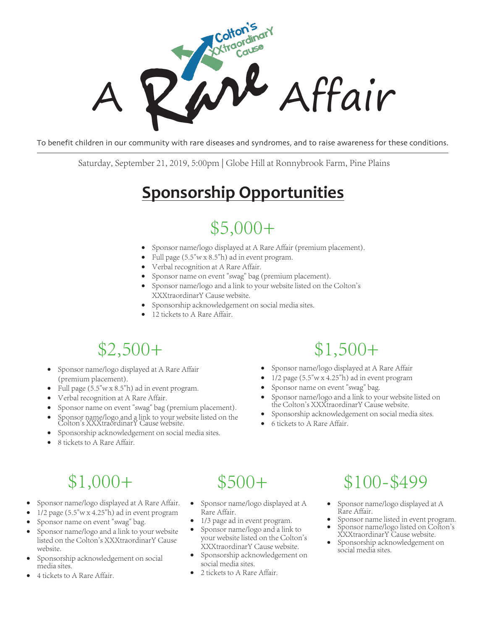

To benefit children in our community with rare diseases and syndromes, and to raise awareness for these conditions.

Saturday, September 2 1, 2019, 5:00pm | Globe Hill at Ronnybrook Farm, Pine Plains

## **Sponsorship Opportunities**

### $$5,000+$

- Sponsor name/logo displayed at A Rare Affair (premium placement).
- Full page  $(5.5"w \times 8.5"h)$  ad in event program.
- Verbal recognition at A Rare Affair.
- Sponsor name on event "swag" bag (premium placement).
- Sponsor name/logo and a link to your website listed on the Colton's XXXtraordinarY Cause website.
- Sponsorship acknowledgement on social media sites.
- 12 tickets to A Rare Affair.

## $$2,500+$

- Sponsor name/logo displayed at A Rare Affair (premium placement).
- Full page (5.5"w x 8.5"h) ad in event program.
- Verbal recognition at A Rare Affair.
- Sponsor name on event "swag" bag (premium placement).
- v Sponsor name/logo and a link to your website listed on the Colton's XXXtraordinarY Cause website.
- Sponsorship acknowledgement on social media sites.
- 8 tickets to A Rare Affair.

## \$1,500+

- Sponsor name/logo displayed at A Rare Affair
- $1/2$  page (5.5"w x 4.25"h) ad in event program
- Sponsor name on event "swag" bag.
- Sponsor name/logo and a link to your website listed on the Colton's XXXtraordinarY Cause website.
- Sponsorship acknowledgement on social media sites.
- 6 tickets to A Rare Affair.

# \$1,000+

- Sponsor name/logo displayed at A Rare Affair.
- $1/2$  page (5.5"w x 4.25"h) ad in event program
- Sponsor name on event "swag" bag.
- Sponsor name/logo and a link to your website listed on the Colton's XXXtraordinarY Cause website.
- Sponsorship acknowledgement on social media sites.
- 4 tickets to A Rare Affair.

## $$500+$

- Sponsor name/logo displayed at A Rare Affair.
- 1/3 page ad in event program.
- Sponsor name/logo and a link to your website listed on the Colton's XXXtraordinarY Cause website.
- Sponsorship acknowledgement on social media sites.
- 2 tickets to A Rare Affair.

## \$100-\$499

- Sponsor name/logo displayed at A Rare Affair.<br>Sponsor name listed in event program.
- Sponsor name/logo listed on Colton's
- XXXtraordinarY Cause website. Sponsorship acknowledgement on
- social media sites.